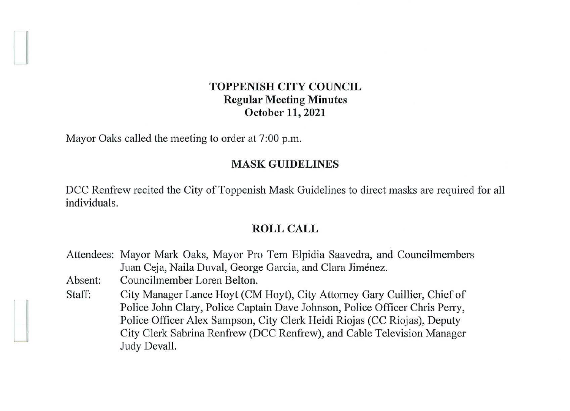# **TOPPENISH CITY COUNCIL Regular Meeting Minutes October 11, 2021**

Mayor Oaks called the meeting to order at 7:00 p.m.

 $\begin{array}{c} \begin{array}{ccc} \hline \hline \hline \hline \hline \hline \hline \hline \hline \end{array} \end{array}$ 

## **MASK GUIDELINES**

DCC Renfrew recited the City of Toppenish Mask Guidelines to direct masks are required for all individuals.

## **ROLL CALL**

Attendees: Mayor Mark Oaks, Mayor Pro Tem Elpidia Saavedra, and Councilmembers Absent: Staff: Juan Ceja, Naila Duval, George Garcia, and Clara Jiménez. Councilmember Loren Belton. City Manager Lance Hoyt (CM Hoyt), City Attorney Gary Cuillier, Chief of

Police John Clary, Police Captain Dave Johnson, Police Officer Chris Perry, Police Officer Alex Sampson, City Clerk Heidi Riojas (CC Riojas), Deputy City Clerk Sabrina Renfrew (DCC Renfrew), and Cable Television Manager Judy Devall.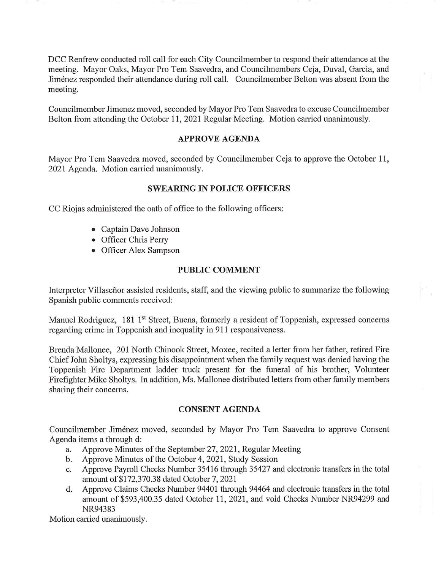DCC Renfrew conducted roll call for each City Councilmember to respond their attendance at the meeting. Mayor Oaks, Mayor Pro Tem Saavedra, and Councilmembers Ceja, Duval, Garcia, and Jimenez responded their attendance during roll call. Councilmember Belton was absent from the meeting.

Councilmember Jimenez moved, seconded by Mayor Pro Tem Saavedra to excuse Councilmember Belton from attending the October 11, 2021 Regular Meeting. Motion carried unanimously.

## **APPROVE AGENDA**

Mayor Pro Tem Saavedra moved, seconded by Councilmember Ceja to approve the October 11, 2021 Agenda. Motion carried unanimously.

### **SWEARING IN POLICE OFFICERS**

CC Riojas administered the oath of office to the following officers:

- Captain Dave Johnson
- Officer Chris Peny
- Officer Alex Sampson

## **PUBLIC COMMENT**

Interpreter Villaseñor assisted residents, staff, and the viewing public to summarize the following Spanish public comments received:

Manuel Rodriguez, 181 1<sup>st</sup> Street, Buena, formerly a resident of Toppenish, expressed concerns regarding crime in Toppenish and inequality in 911 responsiveness.

Brenda Mallonee, 201 North Chinook Street, Moxee, recited a letter from her father, retired Fire Chief John Sholtys, expressing his disappointment when the family request was denied having the Toppenish Fire Department ladder truck present for the funeral of his brother, Volunteer Firefighter Mike Sholtys. In addition, Ms. Mallonee distributed letters from other family members sharing their concerns.

## **CONSENT AGENDA**

Councilmember Jimenez moved, seconded by Mayor Pro Tem Saavedra to approve Consent Agenda items a through d:

- a. Approve Minutes of the September 27, 2021, Regular Meeting
- b. Approve Minutes of the October 4, 2021, Study Session
- c. Approve Payroll Checks Number 35416 through 35427 and electronic transfers in the total amount of \$172,370.38 dated October 7, 2021
- d. Approve Claims Checks Number 94401 through 94464 and electronic transfers in the total amount of \$593,400.35 dated October 11, 2021, and void Checks Number NR94299 and NR94383

Motion carried unanimously.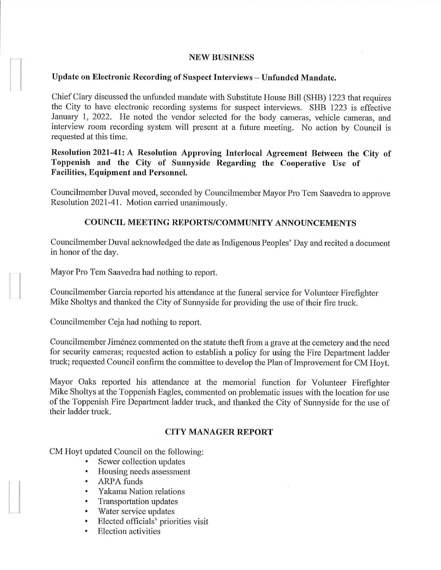#### **NEW BUSINESS**

# Update on Electronic Recording of Suspect Interviews - Unfunded Mandate.

Chief Clary discussed the unfunded mandate with Substitute House Bill (SHB) 1223 that requires the City to have electronic recording systems for suspect interviews. SHB 1223 is effective January 1, 2022. He noted the vendor selected for the body cameras, vehicle cameras, and interview room recording system will present at a future meeting. No action by Council is requested at this time.

**Resolution 2021-41: A Resolution Approving Interlocal Agreement Between the City of Toppenish and the City of Sunnyside Regarding the Cooperative Use of Facilities, Equipment and Personnel.** 

Councilmember Duval moved, seconded by Councilmember Mayor Pro Tern Saavedra to approve Resolution 2021-41. Motion carried unanimously.

# **COUNCIL MEETING REPORTS/COMMUNITY ANNOUNCEMENTS**

Councilmember Duval acknowledged the date as Indigenous Peoples' Day and recited a document in honor of the day.

Mayor Pro Tem Saavedra had nothing to report.

Councilmember Garcia reported his attendance at the funeral service for Volunteer Firefighter Mike Sholtys and thanked the City of Sunnyside for providing the use of their fire truck.

Councilmember Ceja had nothing to report.

Councilmember Jimenez commented on the statute theft from a grave at the cemetery and the need for security cameras; requested action to establish a policy for using the Fire Department ladder truck; requested Council confirm the committee to develop the Plan of Improvement for CM Hoyt.

Mayor Oaks reported his attendance at the memorial function for Volunteer Firefighter Mike Sholtys at the Toppenish Eagles, commented on problematic issues with the location for use of the Toppenish Fire Department ladder truck, and thanked the City of Sunnyside for the use of their ladder truck.

## **CITY MANAGER REPORT**

CM Hoyt updated Council on the following:

- Sewer collection updates
- Housing needs assessment
- ARPA funds
- Yakama Nation relations
- Transportation updates
- Water service updates
- Elected officials' priorities visit
- Election activities